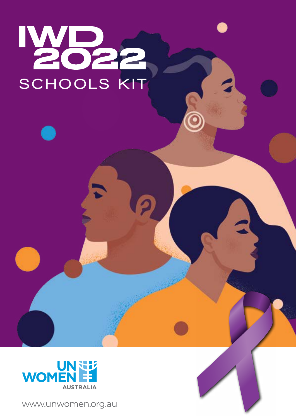# IMB22



www.unwomen.org.au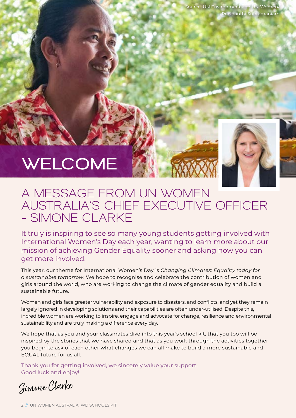# WELCOME



# A MESSAGE FROM UN WOMEN AUSTRALIA'S CHIEF EXECUTIVE OFFICER – SIMONE CLARKE

It truly is inspiring to see so many young students getting involved with International Women's Day each year, wanting to learn more about our mission of achieving Gender Equality sooner and asking how you can get more involved.

This year, our theme for International Women's Day is *Changing Climates: Equality today for a sustainable tomorrow*. We hope to recognise and celebrate the contribution of women and girls around the world, who are working to change the climate of gender equality and build a sustainable future.

Women and girls face greater vulnerability and exposure to disasters, and conflicts, and yet they remain largely ignored in developing solutions and their capabilities are often under-utilised. Despite this, incredible women are working to inspire, engage and advocate for change, resilience and environmental sustainability and are truly making a difference every day.

We hope that as you and your classmates dive into this year's school kit, that you too will be inspired by the stories that we have shared and that as you work through the activities together you begin to ask of each other what changes we can all make to build a more sustainable and EQUAL future for us all.

Thank you for getting involved, we sincerely value your support. Good luck and enjoy!

Simone Clarke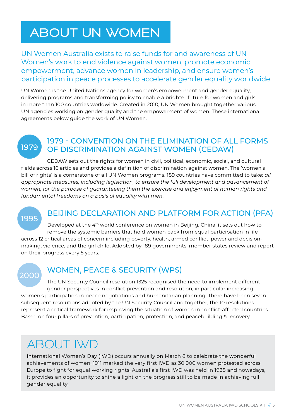# ABOUT UN WOMEN

UN Women Australia exists to raise funds for and awareness of UN Women's work to end violence against women, promote economic empowerment, advance women in leadership, and ensure women's participation in peace processes to accelerate gender equality worldwide.

UN Women is the United Nations agency for women's empowerment and gender equality, delivering programs and transforming policy to enable a brighter future for women and girls in more than 100 countries worldwide. Created in 2010, UN Women brought together various UN agencies working on gender quality and the empowerment of women. These international agreements below guide the work of UN Women.

1979

## 1979 - CONVENTION ON THE ELIMINATION OF ALL FORMS OF DISCRIMINATION AGAINST WOMEN (CEDAW)

CEDAW sets out the rights for women in civil, political, economic, social, and cultural fields across 16 articles and provides a definition of discrimination against women. The 'women's bill of rights' is a cornerstone of all UN Women programs. 189 countries have committed to take: *all appropriate measures, including legislation, to ensure the full development and advancement of women, for the purpose of guaranteeing them the exercise and enjoyment of human rights and fundamental freedoms on a basis of equality with men*.

# 1995

# BEIJING DECLARATION AND PLATFORM FOR ACTION (PFA)

Developed at the 4th world conference on women in Beijing, China, it sets out how to remove the systemic barriers that hold women back from equal participation in life across 12 critical areas of concern including poverty, health, armed conflict, power and decisionmaking, violence, and the girl child. Adopted by 189 governments, member states review and report on their progress every 5 years.

# 2000

# WOMEN, PEACE & SECURITY (WPS)

The UN Security Council resolution 1325 recognised the need to implement different gender perspectives in conflict prevention and resolution, in particular increasing women's participation in peace negotiations and humanitarian planning. There have been seven subsequent resolutions adopted by the UN Security Council and together, the 10 resolutions represent a critical framework for improving the situation of women in conflict-affected countries. Based on four pillars of prevention, participation, protection, and peacebuilding & recovery.

# ABOUT IWD

International Women's Day (IWD) occurs annually on March 8 to celebrate the wonderful achievements of women. 1911 marked the very first IWD as 30,000 women protested across Europe to fight for equal working rights. Australia's first IWD was held in 1928 and nowadays, it provides an opportunity to shine a light on the progress still to be made in achieving full gender equality.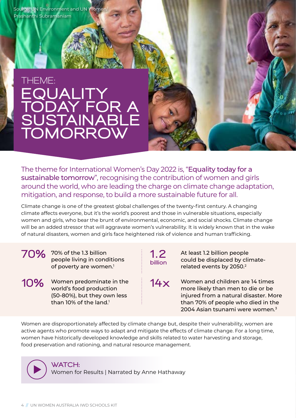Source: UN Environment and UN Womer Prashanthi Subramaniam

# THEME: EQUALITY TODAY FOR A SUSTAINABLE TOMORROW

The theme for International Women's Day 2022 is, "Equality today for a sustainable tomorrow", recognising the contribution of women and girls around the world, who are leading the charge on climate change adaptation, mitigation, and response, to build a more sustainable future for all.

Climate change is one of the greatest global challenges of the twenty-first century. A changing climate affects everyone, but it's the world's poorest and those in vulnerable situations, especially women and girls, who bear the brunt of environmental, economic, and social shocks. Climate change will be an added stressor that will aggravate women's vulnerability. It is widely known that in the wake of natural disasters, women and girls face heightened risk of violence and human trafficking.

#### 70% of the 1.3 billion 1.2 people living in conditions of poverty are women.<sup>1</sup>

10% Women predominate in the 14x world's food production (50-80%), but they own less than  $10\%$  of the land.<sup>1</sup>

billion

At least 1.2 billion people could be displaced by climaterelated events by 2050.2

Women and children are 14 times more likely than men to die or be injured from a natural disaster. More than 70% of people who died in the 2004 Asian tsunami were women.3

Women are disproportionately affected by climate change but, despite their vulnerability, women are active agents who promote ways to adapt and mitigate the effects of climate change. For a long time, women have historically developed knowledge and skills related to water harvesting and storage, food preservation and rationing, and natural resource management.

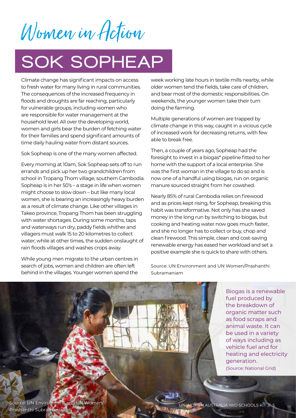Women in Action

# SOK SOPHEAP

Climate change has significant impacts on access to fresh water for many living in rural communities. The consequences of the increased frequency in floods and droughts are far reaching, particularly for vulnerable groups, including women who are responsible for water management at the household level. All over the developing world, women and girls bear the burden of fetching water for their families and spend significant amounts of time daily hauling water from distant sources.

Sok Sopheap is one of the many women affected.

Every morning at 10am, Sok Sopheap sets off to run errands and pick up her two grandchildren from school in Tropang Thom village, southern Cambodia. Sopheap is in her 50's – a stage in life when women might choose to slow down – but like many local women, she is bearing an increasingly heavy burden as a result of climate change. Like other villages in Takeo province, Tropang Thom has been struggling with water shortages. During some months, taps and waterways run dry, paddy fields whither and villagers must walk 15 to 20 kilometres to collect water; while at other times, the sudden onslaught of rain floods villages and washes crops away.

While young men migrate to the urban centres in search of jobs, women and children are often left behind in the villages. Younger women spend the

week working late hours in textile mills nearby, while older women tend the fields, take care of children, and bear most of the domestic responsibilities. On weekends, the younger women take their turn doing the farming.

Multiple generations of women are trapped by climate change in this way, caught in a vicious cycle of increased work for decreasing returns, with few able to break free.

Then, a couple of years ago, Sopheap had the foresight to invest in a biogas\* pipeline fitted to her home with the support of a local enterprise. She was the first woman in the village to do so and is now one of a handful using biogas, run on organic manure sourced straight from her cowshed.

Nearly 85% of rural Cambodia relies on firewood and as prices kept rising, for Sopheap, breaking this habit was transformative. Not only has she saved money in the long run by switching to biogas, but cooking and heating water now goes much faster, and she no longer has to collect or buy, chop and clean firewood. This simple, clean and cost-saving renewable energy has eased her workload and set a positive example she is quick to share with others.

Source: UN Environment and UN Women/Prashanthi Subramaniam

> Biogas is a renewable fuel produced by the breakdown of organic matter such as food scraps and animal waste. It can be used in a variety of ways including as vehicle fuel and for heating and electricity generation. (Source: National Grid)

Source: UN Environment and UN Women/ Prashanthi Subramaniam

UN WOMEN AUSTRALIA IWD SCHOOLS KIT // 5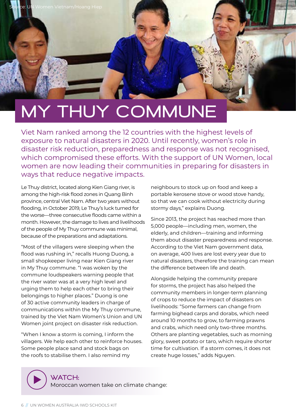# MY THUY COMMUNE

Viet Nam ranked among the 12 countries with the highest levels of exposure to natural disasters in 2020. Until recently, women's role in disaster risk reduction, preparedness and response was not recognised, which compromised these efforts. With the support of UN Women, local women are now leading their communities in preparing for disasters in ways that reduce negative impacts.

Le Thuy district, located along Kien Giang river, is among the high-risk flood zones in Quang Binh province, central Viet Nam. After two years without flooding, in October 2019, Le Thuy's luck turned for the worse—three consecutive floods came within a month. However, the damage to lives and livelihoods of the people of My Thuy commune was minimal, because of the preparations and adaptations.

"Most of the villagers were sleeping when the flood was rushing in," recalls Huong Duong, a small shopkeeper living near Kien Giang river in My Thuy commune. "I was woken by the commune loudspeakers warning people that the river water was at a very high level and urging them to help each other to bring their belongings to higher places." Duong is one of 30 active community leaders in charge of communications within the My Thuy commune, trained by the Viet Nam Women's Union and UN Women joint project on disaster risk reduction.

"When I know a storm is coming, I inform the villagers. We help each other to reinforce houses. Some people place sand and stock bags on the roofs to stabilise them. I also remind my

neighbours to stock up on food and keep a portable kerosene stove or wood stove handy, so that we can cook without electricity during stormy days," explains Duong.

Since 2013, the project has reached more than 5,000 people—including men, women, the elderly, and children—training and informing them about disaster preparedness and response. According to the Viet Nam government data, on average, 400 lives are lost every year due to natural disasters, therefore the training can mean the difference between life and death.

Alongside helping the community prepare for storms, the project has also helped the community members in longer-term planning of crops to reduce the impact of disasters on livelihoods: "Some farmers can change from farming bighead carps and dorabs, which need around 10 months to grow, to farming prawns and crabs, which need only two-three months. Others are planting vegetables, such as morning glory, sweet potato or taro, which require shorter time for cultivation. If a storm comes, it does not create huge losses," adds Nguyen.

## WATCH:

[Moroccan women take on climate change:](https://www.youtube.com/watch?v=A2Q-8i3aeOA&list=PLA0113C84B340CFAE&index=10)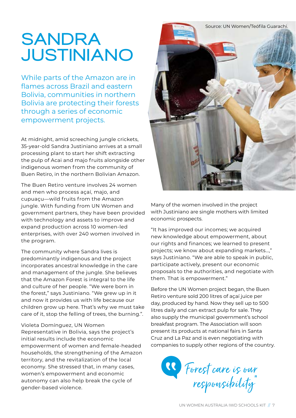# SANDRA JUSTINIANO

While parts of the Amazon are in flames across Brazil and eastern Bolivia, communities in northern Bolivia are protecting their forests through a series of economic empowerment projects.

At midnight, amid screeching jungle crickets, 35-year-old Sandra Justiniano arrives at a small processing plant to start her shift extracting the pulp of Acai and majo fruits alongside other indigenous women from the community of Buen Retiro, in the northern Bolivian Amazon.

The Buen Retiro venture involves 24 women and men who process açaí, majo, and cupuaçu—wild fruits from the Amazon jungle. With funding from UN Women and government partners, they have been provided with technology and assets to improve and expand production across 10 women-led enterprises, with over 240 women involved in the program.

The community where Sandra lives is predominantly indigenous and the project incorporates ancestral knowledge in the care and management of the jungle. She believes that the Amazon Forest is integral to the life and culture of her people. "We were born in the forest," says Justiniano. "We grew up in it and now it provides us with life because our children grow up here. That's why we must take care of it, stop the felling of trees, the burning.".

#### Violeta Domínguez, UN Women

Representative in Bolivia, says the project's initial results include the economic empowerment of women and female-headed households, the strengthening of the Amazon territory, and the revitalization of the local economy. She stressed that, in many cases, women's empowerment and economic autonomy can also help break the cycle of gender-based violence.



Many of the women involved in the project with Justiniano are single mothers with limited economic prospects.

"It has improved our incomes; we acquired new knowledge about empowerment, about our rights and finances; we learned to present projects; we know about expanding markets…," says Justiniano. "We are able to speak in public, participate actively, present our economic proposals to the authorities, and negotiate with them. That is empowerment."

Before the UN Women project began, the Buen Retiro venture sold 200 litres of açaí juice per day, produced by hand. Now they sell up to 500 litres daily and can extract pulp for sale. They also supply the municipal government's school breakfast program. The Association will soon present its products at national fairs in Santa Cruz and La Paz and is even negotiating with companies to supply other regions of the country.

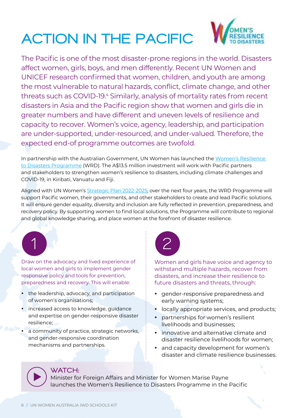# ACTION IN THE PACIFIC



The Pacific is one of the most disaster-prone regions in the world. Disasters affect women, girls, boys, and men differently. Recent UN Women and UNICEF research confirmed that women, children, and youth are among the most vulnerable to natural hazards, conflict, climate change, and other threats such as COVID-19.4 Similarly, analysis of mortality rates from recent disasters in Asia and the Pacific region show that women and girls die in greater numbers and have different and uneven levels of resilience and capacity to recover. Women's voice, agency, leadership, and participation are under-supported, under-resourced, and under-valued. Therefore, the expected end-of programme outcomes are twofold.

In partnership with the Australian Government, UN Women has launched the [Women's Resilience](https://www.unwomen.org/en/digital-library/publications/2021/10/programme-brief-womens-resilience-to-disasters-programme-in-the-pacific)  [to Disasters Programme \(WRD\)](https://www.unwomen.org/en/digital-library/publications/2021/10/programme-brief-womens-resilience-to-disasters-programme-in-the-pacific). The A\$13.5 million investment will work with Pacific partners and stakeholders to strengthen women's resilience to disasters, including climate challenges and COVID-19, in Kiribati, Vanuatu and Fiji.

Aligned with [UN Women's Strategic Plan 2022-2025](https://www.unwomen.org/en/digital-library/publications/2021/09/un-women-strategic-plan-2022-2025), over the next four years, the WRD Programme will support Pacific women, their governments, and other stakeholders to create and lead Pacific solutions. It will ensure gender equality, diversity and inclusion are fully reflected in prevention, preparedness, and recovery policy. By supporting women to find local solutions, the Programme will contribute to regional and global knowledge sharing, and place women at the forefront of disaster resilience.



Draw on the advocacy and lived experience of local women and girls to implement gender responsive policy and tools for prevention, preparedness and recovery. This will enable:

- the leadership, advocacy, and participation of women's organisations;
- increased access to knowledge, guidance and expertise on gender-responsive disaster resilience;
- a community of practice, strategic networks, and gender-responsive coordination mechanisms and partnerships.



Women and girls have voice and agency to withstand multiple hazards, recover from disasters, and increase their resilience to future disasters and threats, through:

- gender-responsive preparedness and early warning systems;
- locally appropriate services, and products;
- partnerships for women's resilient livelihoods and businesses;
- innovative and alternative climate and disaster resilience livelihoods for women;
- and capacity development for women's disaster and climate resilience businesses.

## WATCH:

Minister for Foreign Affairs and Minister for Women Marise Payne [launches the Women's Resilience to Disasters Programme in the Pacific](https://vimeo.com/630799287/681ed64cba)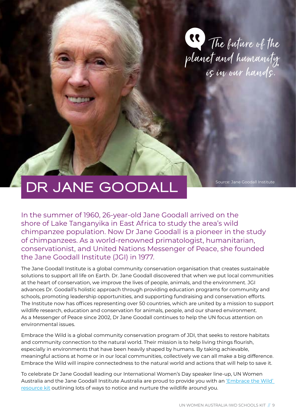

# DR JANE GOODALL

Source: Jane Goodall Institute

In the summer of 1960, 26-year-old Jane Goodall arrived on the shore of Lake Tanganyika in East Africa to study the area's wild chimpanzee population. Now Dr Jane Goodall is a pioneer in the study of chimpanzees. As a world-renowned primatologist, humanitarian, conservationist, and United Nations Messenger of Peace, she founded the Jane Goodall Institute (JGI) in 1977.

The Jane Goodall Institute is a global community conservation organisation that creates sustainable solutions to support all life on Earth. Dr. Jane Goodall discovered that when we put local communities at the heart of conservation, we improve the lives of people, animals, and the environment. JGI advances Dr. Goodall's holistic approach through providing education programs for community and schools, promoting leadership opportunities, and supporting fundraising and conservation efforts. The Institute now has offices representing over 50 countries, which are united by a mission to support wildlife research, education and conservation for animals, people, and our shared environment. As a Messenger of Peace since 2002, Dr Jane Goodall continues to help the UN focus attention on environmental issues.

Embrace the Wild is a global community conservation program of JDI, that seeks to restore habitats and community connection to the natural world. Their mission is to help living things flourish, especially in environments that have been heavily shaped by humans. By taking achievable, meaningful actions at home or in our local communities, collectively we can all make a big difference. Embrace the Wild will inspire connectedness to the natural world and actions that will help to save it.

To celebrate Dr Jane Goodall leading our International Women's Day speaker line-up, UN Women Australia and the Jane Goodall Institute Australia are proud to provide you with an ['Embrace the Wild'](https://unwomen.org.au/wp-content/uploads/2015/12/EMBRACE-THE-WILD-RS26.pdf)  [resource kit](https://unwomen.org.au/wp-content/uploads/2015/12/EMBRACE-THE-WILD-RS26.pdf) outlining lots of ways to notice and nurture the wildlife around you.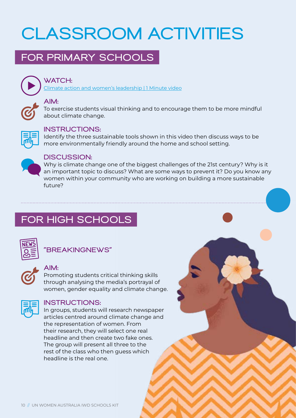# CLASSROOM ACTIVITIES

# FOR PRIMARY SCHOOLS



## [WATCH:](https://www.youtube.com/watch?v=66kWmPa1n7w 
)

[Climate action and women's leadership | 1 Minute video](https://www.youtube.com/watch?v=66kWmPa1n7w 
)

## AIM:

To exercise students visual thinking and to encourage them to be more mindful about climate change.



#### INSTRUCTIONS:

Identify the three sustainable tools shown in this video then discuss ways to be more environmentally friendly around the home and school setting.



## DISCUSSION:

Why is climate change one of the biggest challenges of the 21st century? Why is it an important topic to discuss? What are some ways to prevent it? Do you know any women within your community who are working on building a more sustainable future?

# FOR HIGH SCHOOLS



## "BREAKINGNEWS"

# AIM:

Promoting students critical thinking skills through analysing the media's portrayal of women, gender equality and climate change.



## INSTRUCTIONS:

In groups, students will research newspaper articles centred around climate change and the representation of women. From their research, they will select one real headline and then create two fake ones. The group will present all three to the rest of the class who then guess which headline is the real one.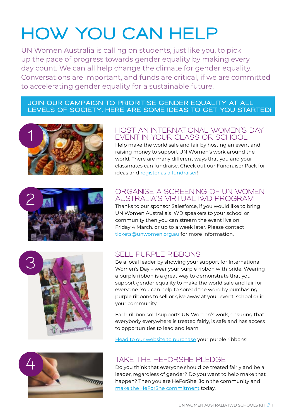# HOW YOU CAN HELP

UN Women Australia is calling on students, just like you, to pick up the pace of progress towards gender equality by making every day count. We can all help change the climate for gender equality. Conversations are important, and funds are critical, if we are committed to accelerating gender equality for a sustainable future.

#### JOIN OUR CAMPAIGN TO PRIORITISE GENDER EQUALITY AT ALL LEVELS OF SOCIETY. HERE ARE SOME IDEAS TO GET YOU STARTED!





#### HOST AN INTERNATIONAL WOMEN'S DAY EVENT IN YOUR CLASS OR SCHOOL

Help make the world safe and fair by hosting an event and raising money to support UN Women's work around the world. There are many different ways that you and your classmates can fundraise. Check out our [Fundraiser Pack](https://unwomen.org.au/wp-content/uploads/2015/12/UNWA-fundraising-pack_OCT2020.pdf) for ideas and [register as a fundraiser!](https://unwomenaus.typeform.com/to/eVk7UStP)

#### ORGANISE A SCREENING OF UN WOMEN AUSTRALIA'S VIRTUAL IWD PROGRAM

Thanks to our sponsor Salesforce, if you would like to bring UN Women Australia's IWD speakers to your school or community then you can stream the event live on Friday 4 March. or up to a week later. Please contact [tickets@unwomen.org.au](mailto:tickets@unwomen.org.au) for more information.



# SELL PURPLE RIBBONS

Be a local leader by showing your support for International Women's Day – wear your purple ribbon with pride. Wearing a purple ribbon is a great way to demonstrate that you support gender equality to make the world safe and fair for everyone. You can help to spread the word by purchasing purple ribbons to sell or give away at your event, school or in your community.

Each ribbon sold supports UN Women's work, ensuring that everybody everywhere is treated fairly, is safe and has access to opportunities to lead and learn.

[Head to our website to purchase](https://shop.unwomen.org.au/collections/international-women-s-day-merchandise) your purple ribbons!

## TAKE THE HEFORSHE PLEDGE

Do you think that everyone should be treated fairly and be a leader, regardless of gender? Do you want to help make that happen? Then you are HeForShe. Join the community and [make the HeForShe commitment](https://www.heforshe.org/en) today.